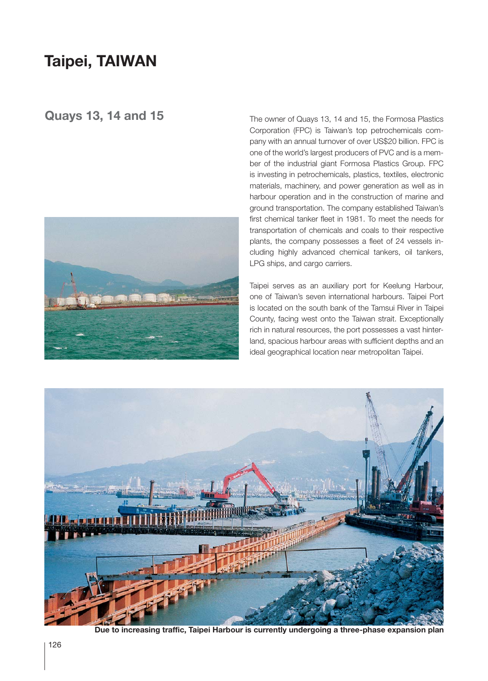## **Taipei, TAIWAN**

## **Quays 13, 14 and 15**



The owner of Quays 13, 14 and 15, the Formosa Plastics Corporation (FPC) is Taiwan's top petrochemicals company with an annual turnover of over US\$20 billion. FPC is one of the world's largest producers of PVC and is a member of the industrial giant Formosa Plastics Group. FPC is investing in petrochemicals, plastics, textiles, electronic materials, machinery, and power generation as well as in harbour operation and in the construction of marine and ground transportation. The company established Taiwan's first chemical tanker fleet in 1981. To meet the needs for transportation of chemicals and coals to their respective plants, the company possesses a fleet of 24 vessels including highly advanced chemical tankers, oil tankers, LPG ships, and cargo carriers.

Taipei serves as an auxiliary port for Keelung Harbour, one of Taiwan's seven international harbours. Taipei Port is located on the south bank of the Tamsui River in Taipei County, facing west onto the Taiwan strait. Exceptionally rich in natural resources, the port possesses a vast hinterland, spacious harbour areas with sufficient depths and an ideal geographical location near metropolitan Taipei.



**Due to increasing traffic, Taipei Harbour is currently undergoing a three-phase expansion plan**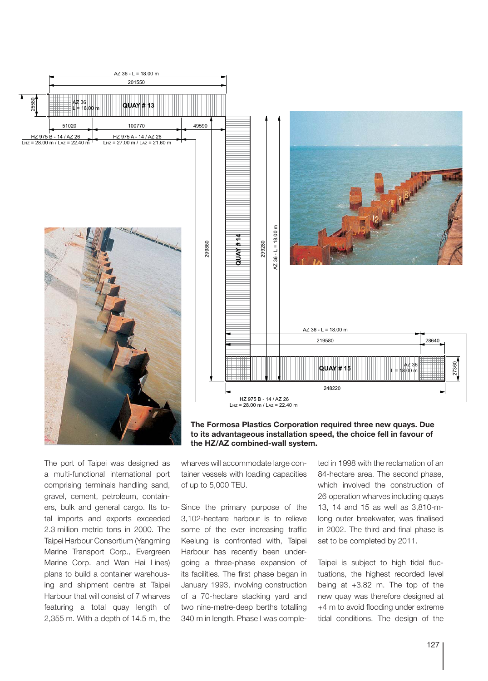

The port of Taipei was designed as a multi-functional international port comprising terminals handling sand, gravel, cement, petroleum, containers, bulk and general cargo. Its total imports and exports exceeded 2.3 million metric tons in 2000. The Taipei Harbour Consortium (Yangming Marine Transport Corp., Evergreen Marine Corp. and Wan Hai Lines) plans to build a container warehousing and shipment centre at Taipei Harbour that will consist of 7 wharves featuring a total quay length of 2,355 m. With a depth of 14.5 m, the wharves will accommodate large container vessels with loading capacities of up to 5,000 TEU.

Since the primary purpose of the 3,102-hectare harbour is to relieve some of the ever increasing traffic Keelung is confronted with, Taipei Harbour has recently been undergoing a three-phase expansion of its facilities. The first phase began in January 1993, involving construction of a 70-hectare stacking yard and two nine-metre-deep berths totalling 340 m in length. Phase I was completed in 1998 with the reclamation of an 84-hectare area. The second phase, which involved the construction of 26 operation wharves including quays 13, 14 and 15 as well as 3,810-mlong outer breakwater, was finalised in 2002. The third and final phase is set to be completed by 2011.

Taipei is subject to high tidal fluctuations, the highest recorded level being at +3.82 m. The top of the new quay was therefore designed at +4 m to avoid flooding under extreme tidal conditions. The design of the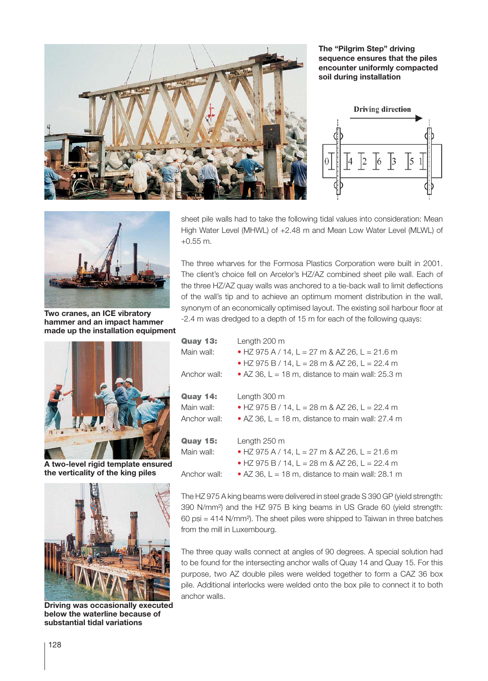

**The "Pilgrim Step" driving sequence ensures that the piles encounter uniformly compacted soil during installation**





**Two cranes, an ICE vibratory hammer and an impact hammer made up the installation equipment**



**A two-level rigid template ensured the verticality of the king piles**



**Driving was occasionally executed below the waterline because of substantial tidal variations**

sheet pile walls had to take the following tidal values into consideration: Mean High Water Level (MHWL) of +2.48 m and Mean Low Water Level (MLWL) of +0.55 m.

The three wharves for the Formosa Plastics Corporation were built in 2001. The client's choice fell on Arcelor's HZ/AZ combined sheet pile wall. Each of the three HZ/AZ quay walls was anchored to a tie-back wall to limit deflections of the wall's tip and to achieve an optimum moment distribution in the wall, synonym of an economically optimised layout. The existing soil harbour floor at -2.4 m was dredged to a depth of 15 m for each of the following quays:

| <b>Quay 13:</b><br>Main wall:<br>Anchor wall: | Length 200 m<br>• HZ 975 A / 14, L = 27 m & AZ 26, L = 21.6 m<br>• HZ 975 B / 14, L = 28 m & AZ 26, L = 22.4 m<br>• AZ 36, L = 18 m, distance to main wall: 25.3 m |
|-----------------------------------------------|--------------------------------------------------------------------------------------------------------------------------------------------------------------------|
| <b>Quay 14:</b><br>Main wall:<br>Anchor wall: | Length 300 m<br>• HZ 975 B / 14, L = 28 m & AZ 26, L = 22.4 m<br>• AZ 36, L = 18 m, distance to main wall: 27.4 m                                                  |
| <b>Quay 15:</b><br>Main wall:<br>Anchor wall: | Length 250 m<br>• HZ 975 A / 14, L = 27 m & AZ 26, L = 21.6 m<br>• HZ 975 B / 14, L = 28 m & AZ 26, L = 22.4 m<br>• AZ 36, L = 18 m, distance to main wall: 28.1 m |

The HZ 975 A king beams were delivered in steel grade S 390 GP (yield strength: 390 N/mm²) and the HZ 975 B king beams in US Grade 60 (yield strength: 60 psi = 414 N/mm²). The sheet piles were shipped to Taiwan in three batches from the mill in Luxembourg.

The three quay walls connect at angles of 90 degrees. A special solution had to be found for the intersecting anchor walls of Quay 14 and Quay 15. For this purpose, two AZ double piles were welded together to form a CAZ 36 box pile. Additional interlocks were welded onto the box pile to connect it to both anchor walls.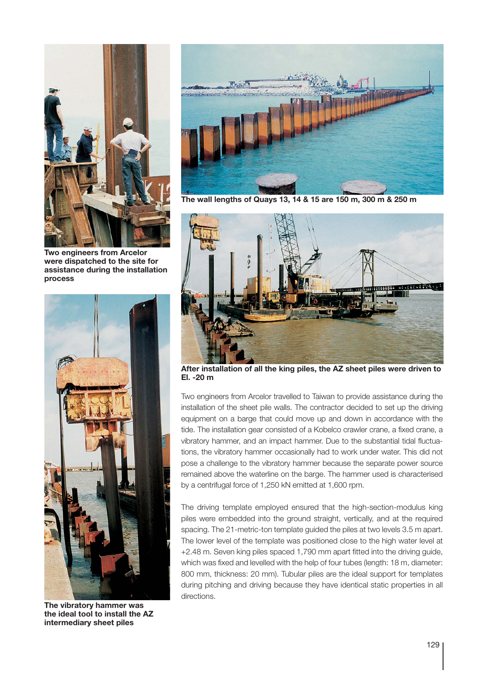

**Two engineers from Arcelor were dispatched to the site for assistance during the installation process**



**The vibratory hammer was the ideal tool to install the AZ intermediary sheet piles**



**The wall lengths of Quays 13, 14 & 15 are 150 m, 300 m & 250 m**



**After installation of all the king piles, the AZ sheet piles were driven to El. -20 m**

Two engineers from Arcelor travelled to Taiwan to provide assistance during the installation of the sheet pile walls. The contractor decided to set up the driving equipment on a barge that could move up and down in accordance with the tide. The installation gear consisted of a Kobelco crawler crane, a fixed crane, a vibratory hammer, and an impact hammer. Due to the substantial tidal fluctuations, the vibratory hammer occasionally had to work under water. This did not pose a challenge to the vibratory hammer because the separate power source remained above the waterline on the barge. The hammer used is characterised by a centrifugal force of 1,250 kN emitted at 1,600 rpm.

The driving template employed ensured that the high-section-modulus king piles were embedded into the ground straight, vertically, and at the required spacing. The 21-metric-ton template guided the piles at two levels 3.5 m apart. The lower level of the template was positioned close to the high water level at +2.48 m. Seven king piles spaced 1,790 mm apart fitted into the driving guide, which was fixed and levelled with the help of four tubes (length: 18 m, diameter: 800 mm, thickness: 20 mm). Tubular piles are the ideal support for templates during pitching and driving because they have identical static properties in all directions.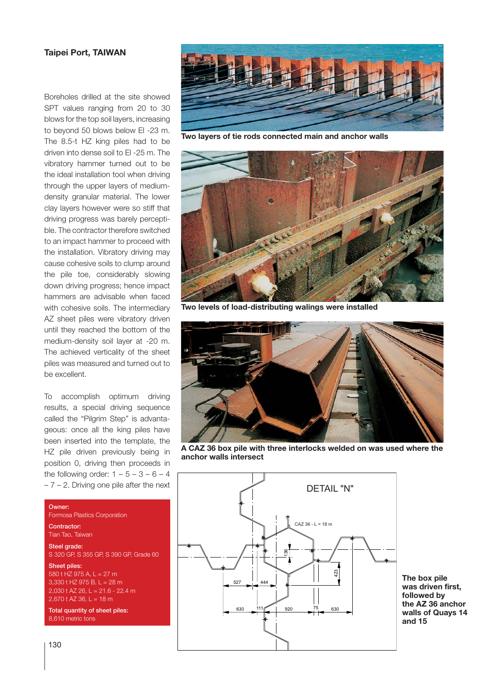## **Taipei Port, TAIWAN**

Boreholes drilled at the site showed SPT values ranging from 20 to 30 blows for the top soil layers, increasing to beyond 50 blows below El -23 m. The 8.5-t HZ king piles had to be driven into dense soil to El -25 m. The vibratory hammer turned out to be the ideal installation tool when driving through the upper layers of mediumdensity granular material. The lower clay layers however were so stiff that driving progress was barely perceptible. The contractor therefore switched to an impact hammer to proceed with the installation. Vibratory driving may cause cohesive soils to clump around the pile toe, considerably slowing down driving progress; hence impact hammers are advisable when faced with cohesive soils. The intermediary AZ sheet piles were vibratory driven until they reached the bottom of the medium-density soil layer at -20 m. The achieved verticality of the sheet piles was measured and turned out to be excellent.

To accomplish optimum driving results, a special driving sequence called the "Pilgrim Step" is advantageous: once all the king piles have been inserted into the template, the HZ pile driven previously being in position 0, driving then proceeds in the following order:  $1-5-3-6-4$  $-7 - 2$ . Driving one pile after the next

## Owner:

Formosa Plastics Corporation

Contractor: Tian Tao, Taiwan

Steel grade:

S 320 GP, S 355 GP, S 390 GP, Grade 60

Sheet piles: 580 t HZ 975 A, L = 27 m  $3,330$  t HZ 975 B, L = 28 m 2,030 t AZ 26, L = 21.6 - 22.4 m 2,670 t AZ 36, L = 18 m

Total quantity of sheet piles: 8,610 metric tons



**Two layers of tie rods connected main and anchor walls**



**Two levels of load-distributing walings were installed**



**A CAZ 36 box pile with three interlocks welded on was used where the anchor walls intersect**



**The box pile was driven first, followed by the AZ 36 anchor walls of Quays 14 and 15**